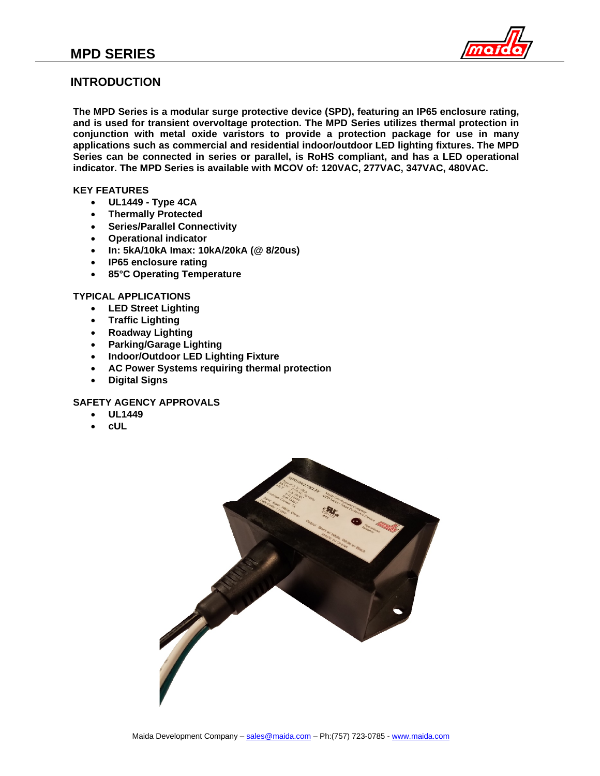

## **INTRODUCTION**

**The MPD Series is a modular surge protective device (SPD), featuring an IP65 enclosure rating, and is used for transient overvoltage protection. The MPD Series utilizes thermal protection in conjunction with metal oxide varistors to provide a protection package for use in many applications such as commercial and residential indoor/outdoor LED lighting fixtures. The MPD Series can be connected in series or parallel, is RoHS compliant, and has a LED operational indicator. The MPD Series is available with MCOV of: 120VAC, 277VAC, 347VAC, 480VAC.**

### **KEY FEATURES**

- **UL1449 - Type 4CA**
- **Thermally Protected**
- **Series/Parallel Connectivity**
- **Operational indicator**
- **In: 5kA/10kA Imax: 10kA/20kA (@ 8/20us)**
- **IP65 enclosure rating**
- **85°C Operating Temperature**

### **TYPICAL APPLICATIONS**

- **LED Street Lighting**
- **Traffic Lighting**
- **Roadway Lighting**
- **Parking/Garage Lighting**
- **Indoor/Outdoor LED Lighting Fixture**
- **AC Power Systems requiring thermal protection**
- **Digital Signs**

## **SAFETY AGENCY APPROVALS**

- **UL1449**
- **cUL**

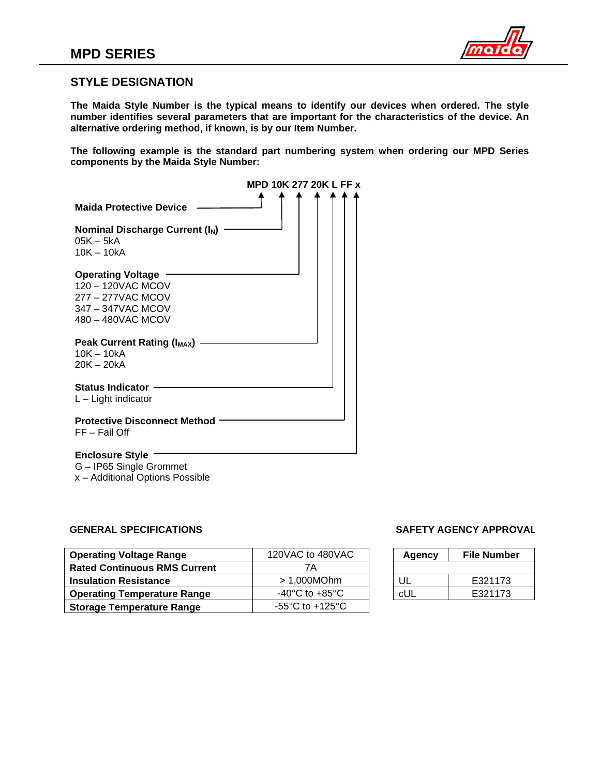

## **STYLE DESIGNATION**

**The Maida Style Number is the typical means to identify our devices when ordered. The style number identifies several parameters that are important for the characteristics of the device. An alternative ordering method, if known, is by our Item Number.**

**The following example is the standard part numbering system when ordering our MPD Series components by the Maida Style Number:**

|                                                                                                              | MPD 10K 277 20K L FF x |  |  |  |
|--------------------------------------------------------------------------------------------------------------|------------------------|--|--|--|
| <b>Maida Protective Device</b>                                                                               |                        |  |  |  |
| Nominal Discharge Current $(I_N)$<br>05K – 5kA                                                               |                        |  |  |  |
| $10K - 10kA$                                                                                                 |                        |  |  |  |
| <b>Operating Voltage</b><br>120 - 120VAC MCOV<br>277 - 277VAC MCOV<br>347 - 347VAC MCOV<br>480 - 480VAC MCOV |                        |  |  |  |
| <b>Peak Current Rating (I<sub>MAX</sub>)</b><br>$10K - 10kA$<br>$20K - 20kA$                                 |                        |  |  |  |
| <b>Status Indicator</b><br>$L -$ Light indicator                                                             |                        |  |  |  |
| <b>Protective Disconnect Method</b><br>FF – Fail Off                                                         |                        |  |  |  |
| $E$ nalaoura $R$ tula $\cdot$                                                                                |                        |  |  |  |

**Enclosure Style**

G – IP65 Single Grommet

x – Additional Options Possible

## **GENERAL SPECIFICATIONS SAFETY AGENCY APPROVAL**

| <b>Operating Voltage Range</b>      | 120VAC to 480VAC                     | Agency | <b>File Number</b> |
|-------------------------------------|--------------------------------------|--------|--------------------|
| <b>Rated Continuous RMS Current</b> | 7Α                                   |        |                    |
| <b>Insulation Resistance</b>        | > 1,000MOhm                          | UL     | E321173            |
| <b>Operating Temperature Range</b>  | -40 $^{\circ}$ C to +85 $^{\circ}$ C | cUL    | E321173            |
| <b>Storage Temperature Range</b>    | -55 $\degree$ C to +125 $\degree$ C  |        |                    |

| Agency | File Number |  |  |
|--------|-------------|--|--|
|        |             |  |  |
| ιш     | E321173     |  |  |
| cUI    | E321173     |  |  |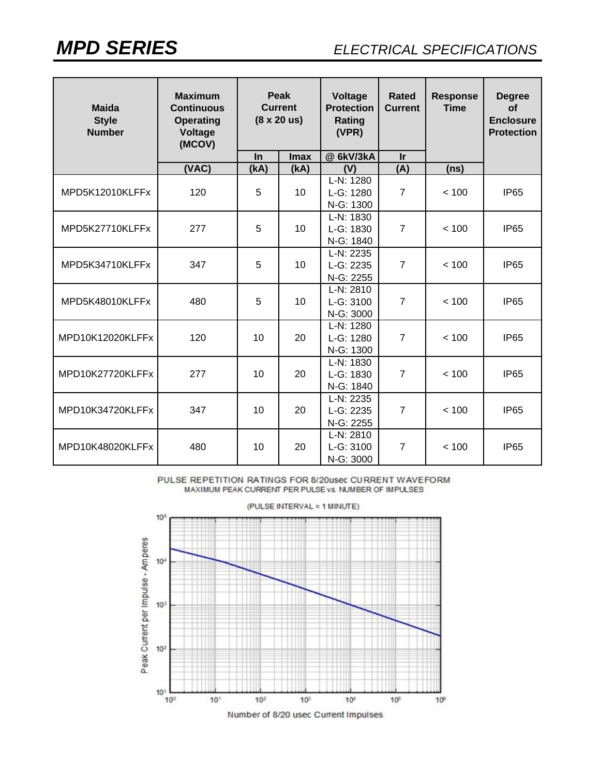| <b>Maida</b><br><b>Style</b><br><b>Number</b> | <b>Maximum</b><br><b>Continuous</b><br><b>Operating</b><br>Voltage<br>(MCOV) | Peak<br><b>Current</b><br>$(8 \times 20 \text{ us})$ |             | Voltage<br><b>Protection</b><br>Rating<br>(VPR) | Rated<br><b>Current</b> | <b>Response</b><br><b>Time</b> | <b>Degree</b><br><b>of</b><br><b>Enclosure</b><br><b>Protection</b> |
|-----------------------------------------------|------------------------------------------------------------------------------|------------------------------------------------------|-------------|-------------------------------------------------|-------------------------|--------------------------------|---------------------------------------------------------------------|
|                                               |                                                                              | In                                                   | <b>Imax</b> | @ 6kV/3kA                                       | <b>Ir</b>               |                                |                                                                     |
|                                               | (VAC)                                                                        | (KA)                                                 | (kA)        | (V)                                             | (A)                     | (ns)                           |                                                                     |
| MPD5K12010KLFFx                               | 120                                                                          | 5                                                    | 10          | $L-N: 1280$<br>L-G: 1280<br>N-G: 1300           | $\overline{7}$          | < 100                          | <b>IP65</b>                                                         |
| MPD5K27710KLFFx                               | 277                                                                          | 5                                                    | 10          | L-N: 1830<br>L-G: 1830<br>N-G: 1840             | $\overline{7}$          | < 100                          | <b>IP65</b>                                                         |
| MPD5K34710KLFFx                               | 347                                                                          | 5                                                    | 10          | L-N: 2235<br>L-G: 2235<br>N-G: 2255             | $\overline{7}$          | < 100                          | IP <sub>65</sub>                                                    |
| MPD5K48010KLFFx                               | 480                                                                          | 5                                                    | 10          | L-N: 2810<br>L-G: 3100<br>N-G: 3000             | $\overline{7}$          | < 100                          | <b>IP65</b>                                                         |
| MPD10K12020KLFFx                              | 120                                                                          | 10                                                   | 20          | L-N: 1280<br>L-G: 1280<br>N-G: 1300             | $\overline{7}$          | < 100                          | <b>IP65</b>                                                         |
| MPD10K27720KLFFx                              | 277                                                                          | 10                                                   | 20          | L-N: 1830<br>L-G: 1830<br>N-G: 1840             | $\overline{7}$          | < 100                          | IP <sub>65</sub>                                                    |
| MPD10K34720KLFFx                              | 347                                                                          | 10                                                   | 20          | L-N: 2235<br>L-G: 2235<br>N-G: 2255             | $\overline{7}$          | < 100                          | IP <sub>65</sub>                                                    |
| MPD10K48020KLFFx                              | 480                                                                          | 10                                                   | 20          | L-N: 2810<br>L-G: 3100<br>N-G: 3000             | $\overline{7}$          | < 100                          | IP <sub>65</sub>                                                    |

PULSE REPETITION RATINGS FOR 8/20usec CURRENT WAVEFORM MAXIMUM PEAK CURRENT PER PULSE vs. NUMBER OF IMPULSES

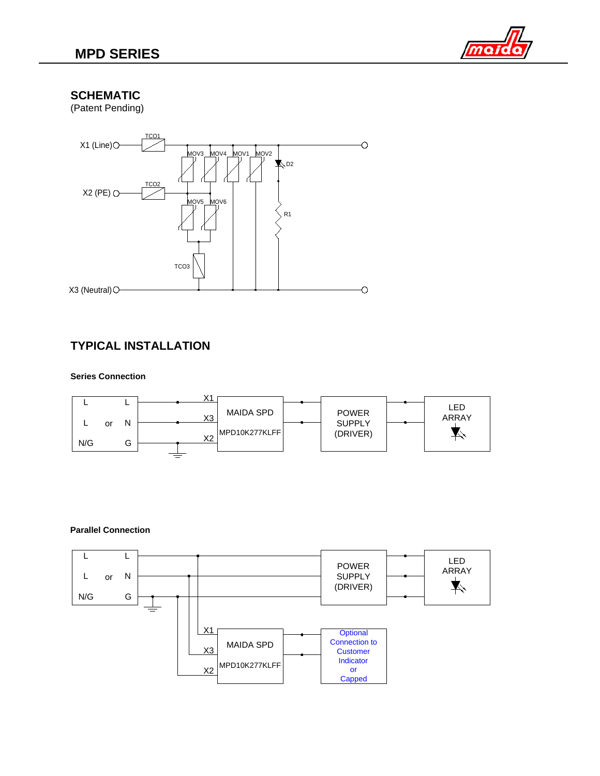

## **SCHEMATIC**

(Patent Pending)



# **TYPICAL INSTALLATION**

### **Series Connection**



### **Parallel Connection**